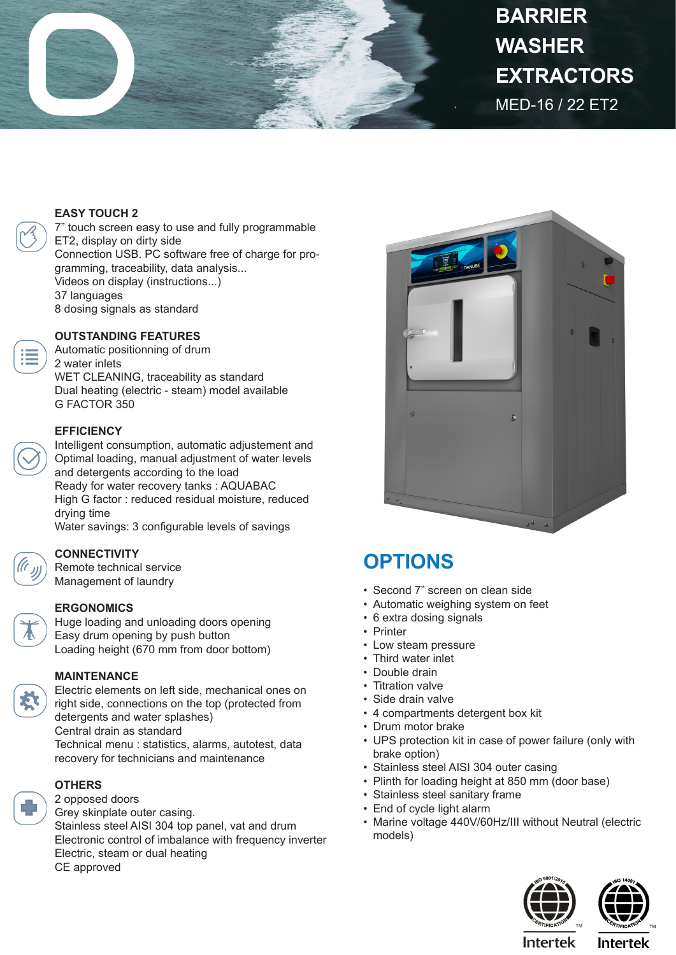

# MED-16 / 22 ET2 **BARRIER WASHER EXTRACTORS**

#### **EASY TOUCH 2**

7" touch screen easy to use and fully programmable ET2, display on dirty side Connection USB. PC software free of charge for programming, traceability, data analysis... Videos on display (instructions...) 37 languages 8 dosing signals as standard

#### **OUTSTANDING FEATURES**

Automatic positionning of drum 2 water inlets WET CLEANING, traceability as standard Dual heating (electric - steam) model available G FACTOR 350

#### **EFFICIENCY**

Intelligent consumption, automatic adjustement and Optimal loading, manual adjustment of water levels and detergents according to the load Ready for water recovery tanks : AQUABAC High G factor : reduced residual moisture, reduced drying time Water savings: 3 configurable levels of savings



**CONNECTIVITY** Remote technical service Management of laundry

#### **ERGONOMICS**

Huge loading and unloading doors opening Easy drum opening by push button Loading height (670 mm from door bottom)

## **MAINTENANCE**

Electric elements on left side, mechanical ones on right side, connections on the top (protected from detergents and water splashes) Central drain as standard Technical menu : statistics, alarms, autotest, data recovery for technicians and maintenance

### **OTHERS**

2 opposed doors Grey skinplate outer casing. Stainless steel AISI 304 top panel, vat and drum Electronic control of imbalance with frequency inverter Electric, steam or dual heating CE approved



# **OPTIONS**

- Second 7" screen on clean side
- Automatic weighing system on feet
- 6 extra dosing signals
- Printer
- Low steam pressure
- Third water inlet
- Double drain
- Titration valve
- Side drain valve
- 4 compartments detergent box kit
- Drum motor brake
- UPS protection kit in case of power failure (only with brake option)
- Stainless steel AISI 304 outer casing
- Plinth for loading height at 850 mm (door base)
- Stainless steel sanitary frame
- End of cycle light alarm
- Marine voltage 440V/60Hz/III without Neutral (electric models)





**Intertek** 

Intertek